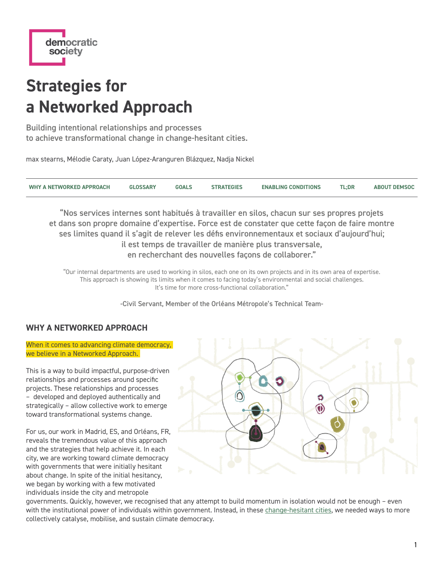

# **Strategies for a Networked Approach**

Building intentional relationships and processes to achieve transformational change in change-hesitant cities.

max stearns, Mélodie Caraty, Juan López-Aranguren Blázquez, Nadja Nickel

| WHY A NETWORKED APPROACH | <b>GLOSSARY</b> | <b>GOALS</b> | <b>STRATEGIES</b> | <b>ENABLING CONDITIONS</b> | <b>TL;DR</b> | <b>ABOUT DEMSOC</b> |
|--------------------------|-----------------|--------------|-------------------|----------------------------|--------------|---------------------|
|                          |                 |              |                   |                            |              |                     |

"Nos services internes sont habitués à travailler en silos, chacun sur ses propres projets et dans son propre domaine d'expertise. Force est de constater que cette façon de faire montre ses limites quand il s'agit de relever les défis environnementaux et sociaux d'aujourd'hui; il est temps de travailler de manière plus transversale, en recherchant des nouvelles façons de collaborer."

"Our internal departments are used to working in silos, each one on its own projects and in its own area of expertise. This approach is showing its limits when it comes to facing today's environmental and social challenges. It's time for more cross-functional collaboration."

-Civil Servant, Member of the Orléans Métropole's Technical Team-

# <span id="page-0-0"></span>**WHY A NETWORKED APPROACH**

When it comes to advancing climate democracy. we believe in a Networked Approach.

This is a way to build impactful, purpose-driven relationships and processes around specific projects. These relationships and processes – developed and deployed authentically and strategically – allow collective work to emerge toward transformational systems change.

For us, our work in Madrid, ES, and Orléans, FR, reveals the tremendous value of this approach and the strategies that help achieve it. In each city, we are working toward climate democracy with governments that were initially hesitant about change. In spite of the initial hesitancy, we began by working with a few motivated individuals inside the city and metropole



governments. Quickly, however, we recognised that any attempt to build momentum in isolation would not be enough – even with the institutional power of individuals within government. Instead, in these [change-hesitant cities](#page-3-0), we needed ways to more collectively catalyse, mobilise, and sustain climate democracy.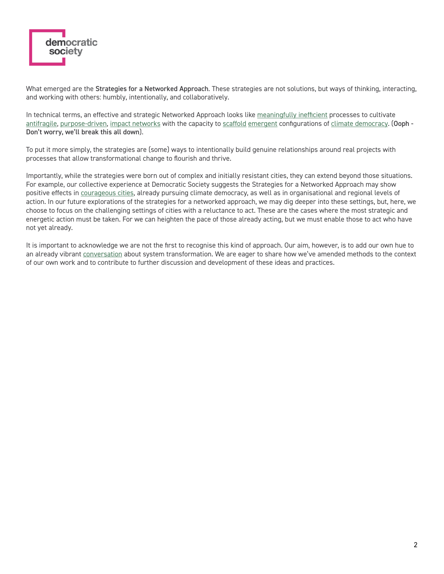

What emerged are the Strategies for a Networked Approach. These strategies are not solutions, but ways of thinking, interacting, and working with others: humbly, intentionally, and collaboratively.

In technical terms, an effective and strategic Networked Approach looks like [meaningfully inefficient](#page-2-1) processes to cultivate [antifragile,](#page-2-2) [purpose-driven](#page-2-3), [impact networks](#page-2-4) with the capacity to [scaffold](#page-2-5) [emergent](#page-2-6) configurations of [climate democracy](#page-2-7). (Ooph -Don't worry, we'll break this all down).

To put it more simply, the strategies are (some) ways to intentionally build genuine relationships around real projects with processes that allow transformational change to flourish and thrive.

Importantly, while the strategies were born out of complex and initially resistant cities, they can extend beyond those situations. For example, our collective experience at Democratic Society suggests the Strategies for a Networked Approach may show positive effects in [courageous cities](#page-3-1), already pursuing climate democracy, as well as in organisational and regional levels of action. In our future explorations of the strategies for a networked approach, we may dig deeper into these settings, but, here, we choose to focus on the challenging settings of cities with a reluctance to act. These are the cases where the most strategic and energetic action must be taken. For we can heighten the pace of those already acting, but we must enable those to act who have not yet already.

It is important to acknowledge we are not the first to recognise this kind of approach. Our aim, however, is to add our own hue to an already vibrant [conversation](#page-2-8) about system transformation. We are eager to share how we've amended methods to the context of our own work and to contribute to further discussion and development of these ideas and practices.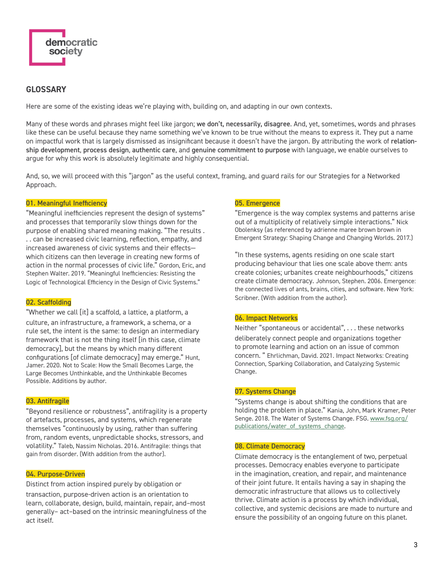<span id="page-2-8"></span>

# <span id="page-2-0"></span>**GLOSSARY**

Here are some of the existing ideas we're playing with, building on, and adapting in our own contexts.

Many of these words and phrases might feel like jargon; we don't, necessarily, disagree. And, yet, sometimes, words and phrases like these can be useful because they name something we've known to be true without the means to express it. They put a name on impactful work that is largely dismissed as insignificant because it doesn't have the jargon. By attributing the work of relationship development, process design, authentic care, and genuine commitment to purpose with language, we enable ourselves to argue for why this work is absolutely legitimate and highly consequential.

And, so, we will proceed with this "jargon" as the useful context, framing, and guard rails for our Strategies for a Networked Approach.

## <span id="page-2-1"></span>01. Meaningful Inefficiency

"Meaningful inefficiencies represent the design of systems" and processes that temporarily slow things down for the purpose of enabling shared meaning making. "The results . . . can be increased civic learning, reflection, empathy, and increased awareness of civic systems and their effects which citizens can then leverage in creating new forms of action in the normal processes of civic life." Gordon, Eric, and Stephen Walter. 2019. "Meaningful Inefficiencies: Resisting the Logic of Technological Efficiency in the Design of Civic Systems."

#### <span id="page-2-5"></span>02. Scaffolding

"Whether we call [it] a scaffold, a lattice, a platform, a culture, an infrastructure, a framework, a schema, or a rule set, the intent is the same: to design an intermediary framework that is not the thing itself [in this case, climate democracy], but the means by which many different configurations [of climate democracy] may emerge." Hunt, Jamer. 2020. Not to Scale: How the Small Becomes Large, the Large Becomes Unthinkable, and the Unthinkable Becomes Possible. Additions by author.

#### <span id="page-2-2"></span>03. Antifragile

"Beyond resilience or robustness", antifragility is a property of artefacts, processes, and systems, which regenerate themselves "continuously by using, rather than suffering from, random events, unpredictable shocks, stressors, and volatility." Taleb, Nassim Nicholas. 2016. Antifragile: things that gain from disorder. (With addition from the author).

# <span id="page-2-3"></span>04. Purpose-Driven

Distinct from action inspired purely by obligation or transaction, purpose-driven action is an orientation to learn, collaborate, design, build, maintain, repair, and–most generally– act–based on the intrinsic meaningfulness of the act itself.

# <span id="page-2-6"></span>05. Emergence

"Emergence is the way complex systems and patterns arise out of a multiplicity of relatively simple interactions." Nick Obolenksy (as referenced by adrienne maree brown brown in Emergent Strategy: Shaping Change and Changing Worlds. 2017.)

"In these systems, agents residing on one scale start producing behaviour that lies one scale above them: ants create colonies; urbanites create neighbourhoods," citizens create climate democracy. Johnson, Stephen. 2006. Emergence: the connected lives of ants, brains, cities, and software. New York: Scribner. (With addition from the author).

## <span id="page-2-4"></span>06. Impact Networks

Neither "spontaneous or accidental", . . . these networks deliberately connect people and organizations together to promote learning and action on an issue of common concern. " Ehrlichman, David. 2021. Impact Networks: Creating Connection, Sparking Collaboration, and Catalyzing Systemic Change.

# 07. Systems Change

"Systems change is about shifting the conditions that are holding the problem in place." Kania, John, Mark Kramer, Peter Senge. 2018. The Water of Systems Change. FSG. [www.fsg.org/](https://www.fsg.org/publications/water_of_systems_change) [publications/water\\_of\\_systems\\_change.](https://www.fsg.org/publications/water_of_systems_change)

# <span id="page-2-7"></span>08. Climate Democracy

Climate democracy is the entanglement of two, perpetual processes. Democracy enables everyone to participate in the imagination, creation, and repair, and maintenance of their joint future. It entails having a say in shaping the democratic infrastructure that allows us to collectively thrive. Climate action is a process by which individual, collective, and systemic decisions are made to nurture and ensure the possibility of an ongoing future on this planet.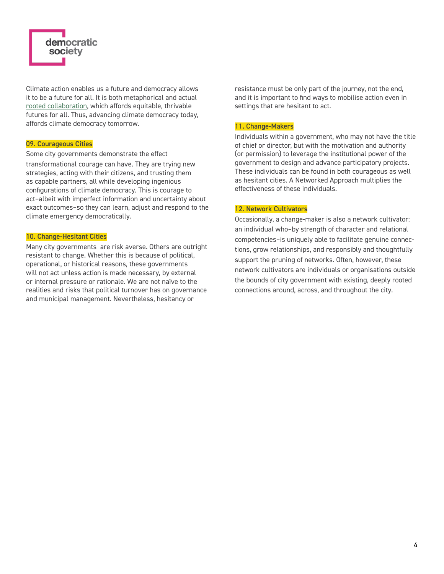

Climate action enables us a future and democracy allows it to be a future for all. It is both metaphorical and actual [rooted collaboration](https://docs.google.com/document/d/1LHIjy0Ihay3mw816qE4Zxm2qNnNdMyRmXwMaJMcEsqY/edit?usp=sharing), which affords equitable, thrivable futures for all. Thus, advancing climate democracy today, affords climate democracy tomorrow.

#### <span id="page-3-1"></span>09. Courageous Cities

Some city governments demonstrate the effect transformational courage can have. They are trying new strategies, acting with their citizens, and trusting them as capable partners, all while developing ingenious configurations of climate democracy. This is courage to act–albeit with imperfect information and uncertainty about exact outcomes–so they can learn, adjust and respond to the climate emergency democratically.

#### <span id="page-3-0"></span>10. Change-Hesitant Cities

Many city governments are risk averse. Others are outright resistant to change. Whether this is because of political, operational, or historical reasons, these governments will not act unless action is made necessary, by external or internal pressure or rationale. We are not naïve to the realities and risks that political turnover has on governance and municipal management. Nevertheless, hesitancy or

resistance must be only part of the journey, not the end, and it is important to find ways to mobilise action even in settings that are hesitant to act.

# 11. Change-Makers

Individuals within a government, who may not have the title of chief or director, but with the motivation and authority (or permission) to leverage the institutional power of the government to design and advance participatory projects. These individuals can be found in both courageous as well as hesitant cities. A Networked Approach multiplies the effectiveness of these individuals.

## <span id="page-3-2"></span>12. Network Cultivators

Occasionally, a change-maker is also a network cultivator: an individual who–by strength of character and relational competencies–is uniquely able to facilitate genuine connections, grow relationships, and responsibly and thoughtfully support the pruning of networks. Often, however, these network cultivators are individuals or organisations outside the bounds of city government with existing, deeply rooted connections around, across, and throughout the city.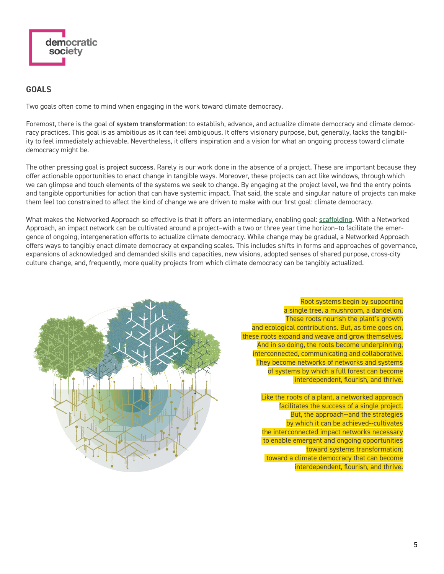

# <span id="page-4-0"></span>**GOALS**

Two goals often come to mind when engaging in the work toward climate democracy.

Foremost, there is the goal of system transformation: to establish, advance, and actualize climate democracy and climate democracy practices. This goal is as ambitious as it can feel ambiguous. It offers visionary purpose, but, generally, lacks the tangibility to feel immediately achievable. Nevertheless, it offers inspiration and a vision for what an ongoing process toward climate democracy might be.

The other pressing goal is project success. Rarely is our work done in the absence of a project. These are important because they offer actionable opportunities to enact change in tangible ways. Moreover, these projects can act like windows, through which we can glimpse and touch elements of the systems we seek to change. By engaging at the project level, we find the entry points and tangible opportunities for action that can have systemic impact. That said, the scale and singular nature of projects can make them feel too constrained to affect the kind of change we are driven to make with our first goal: climate democracy.

What makes the Networked Approach so effective is that it offers an intermediary, enabling goal: [scaffolding](#page-2-5). With a Networked Approach, an impact network can be cultivated around a project–with a two or three year time horizon–to facilitate the emergence of ongoing, intergeneration efforts to actualize climate democracy. While change may be gradual, a Networked Approach offers ways to tangibly enact climate democracy at expanding scales. This includes shifts in forms and approaches of governance, expansions of acknowledged and demanded skills and capacities, new visions, adopted senses of shared purpose, cross-city culture change, and, frequently, more quality projects from which climate democracy can be tangibly actualized.



Root systems begin by supporting a single tree, a mushroom, a dandelion. These roots nourish the plant's growth and ecological contributions. But, as time goes on, these roots expand and weave and grow themselves. And in so doing, the roots become underpinning, interconnected, communicating and collaborative. They become networks of networks and systems of systems by which a full forest can become interdependent, flourish, and thrive.

Like the roots of a plant, a networked approach facilitates the success of a single project. But, the approach--and the strategies by which it can be achieved--cultivates the interconnected impact networks necessary to enable emergent and ongoing opportunities toward systems transformation; toward a climate democracy that can become interdependent, flourish, and thrive.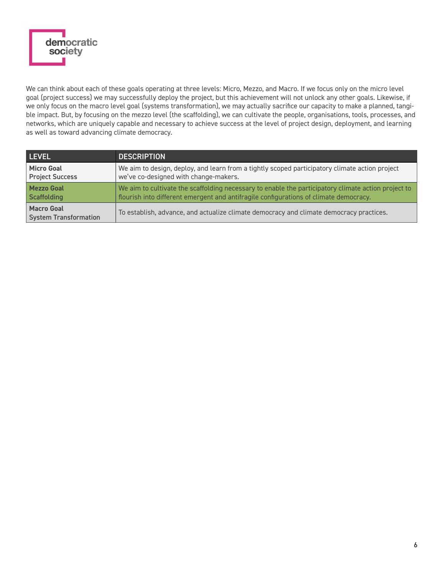

We can think about each of these goals operating at three levels: Micro, Mezzo, and Macro. If we focus only on the micro level goal (project success) we may successfully deploy the project, but this achievement will not unlock any other goals. Likewise, if we only focus on the macro level goal (systems transformation), we may actually sacrifice our capacity to make a planned, tangible impact. But, by focusing on the mezzo level (the scaffolding), we can cultivate the people, organisations, tools, processes, and networks, which are uniquely capable and necessary to achieve success at the level of project design, deployment, and learning as well as toward advancing climate democracy.

| LEVEL                                             | <b>DESCRIPTION</b>                                                                                  |
|---------------------------------------------------|-----------------------------------------------------------------------------------------------------|
| <b>Micro Goal</b>                                 | We aim to design, deploy, and learn from a tightly scoped participatory climate action project      |
| <b>Project Success</b>                            | we've co-designed with change-makers.                                                               |
| <b>Mezzo Goal</b>                                 | We aim to cultivate the scaffolding necessary to enable the participatory climate action project to |
| Scaffolding                                       | flourish into different emergent and antifragile configurations of climate democracy.               |
| <b>Macro Goal</b><br><b>System Transformation</b> | To establish, advance, and actualize climate democracy and climate democracy practices.             |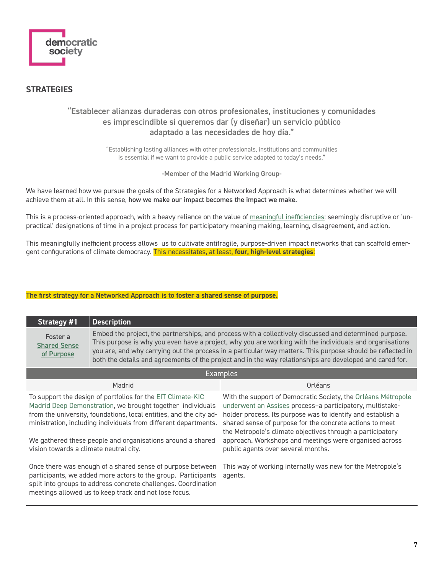

# <span id="page-6-0"></span>**STRATEGIES**

# "Establecer alianzas duraderas con otros profesionales, instituciones y comunidades es imprescindible si queremos dar (y diseñar) un servicio público adaptado a las necesidades de hoy día."

"Establishing lasting alliances with other professionals, institutions and communities is essential if we want to provide a public service adapted to today's needs."

-Member of the Madrid Working Group-

We have learned how we pursue the goals of the Strategies for a Networked Approach is what determines whether we will achieve them at all. In this sense, how we make our impact becomes the impact we make.

This is a process-oriented approach, with a heavy reliance on the value of [meaningful inefficiencies](#page-2-1): seemingly disruptive or 'unpractical' designations of time in a project process for participatory meaning making, learning, disagreement, and action.

This meaningfully inefficient process allows us to cultivate antifragile, purpose-driven impact networks that can scaffold emergent configurations of climate democracy. This necessitates, at least, **four, high-level strategies**:

# The first strategy for a Networked Approach is to **foster a shared sense of purpose**.

| Strategy #1                                   | <b>Description</b>                                                                                                                                                                                                                                                                                                                                                                                                                          |  |
|-----------------------------------------------|---------------------------------------------------------------------------------------------------------------------------------------------------------------------------------------------------------------------------------------------------------------------------------------------------------------------------------------------------------------------------------------------------------------------------------------------|--|
| Foster a<br><b>Shared Sense</b><br>of Purpose | Embed the project, the partnerships, and process with a collectively discussed and determined purpose.<br>This purpose is why you even have a project, why you are working with the individuals and organisations<br>you are, and why carrying out the process in a particular way matters. This purpose should be reflected in<br>both the details and agreements of the project and in the way relationships are developed and cared for. |  |
| <b>Examples</b>                               |                                                                                                                                                                                                                                                                                                                                                                                                                                             |  |

| --------                                                                                                                                                                                                                                                           |                                                                                                                                                                                                                                                                                                                     |  |  |
|--------------------------------------------------------------------------------------------------------------------------------------------------------------------------------------------------------------------------------------------------------------------|---------------------------------------------------------------------------------------------------------------------------------------------------------------------------------------------------------------------------------------------------------------------------------------------------------------------|--|--|
| Madrid                                                                                                                                                                                                                                                             | Orléans                                                                                                                                                                                                                                                                                                             |  |  |
| To support the design of portfolios for the EIT Climate-KIC<br>Madrid Deep Demonstration, we brought together individuals<br>from the university, foundations, local entities, and the city ad-<br>ministration, including individuals from different departments. | With the support of Democratic Society, the Orléans Métropole<br>underwent an Assises process-a participatory, multistake-<br>holder process. Its purpose was to identify and establish a<br>shared sense of purpose for the concrete actions to meet<br>the Metropole's climate objectives through a participatory |  |  |
| We gathered these people and organisations around a shared<br>vision towards a climate neutral city.                                                                                                                                                               | approach. Workshops and meetings were organised across<br>public agents over several months.                                                                                                                                                                                                                        |  |  |
| Once there was enough of a shared sense of purpose between<br>participants, we added more actors to the group. Participants<br>split into groups to address concrete challenges. Coordination<br>meetings allowed us to keep track and not lose focus.             | This way of working internally was new for the Metropole's<br>agents.                                                                                                                                                                                                                                               |  |  |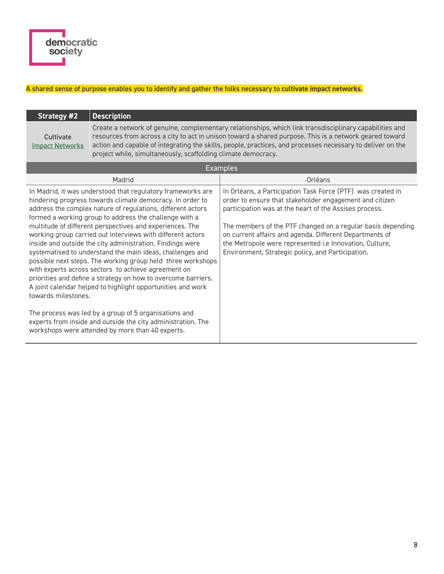# A shared sense of purpose enables you to identify and gather the folks necessary to **cultivate impact networks**.

| <b>Strategy #2</b>                                                                                                                                                                                                                                                                                                                                                                                                                                                                                                                                                                                                                                                                                                                                                                 | <b>Description</b>                                                                                                                                                                                                                                                                                                                                                                               |                                                                                                                                                                                                                                                                                                                                                                                                                            |  |
|------------------------------------------------------------------------------------------------------------------------------------------------------------------------------------------------------------------------------------------------------------------------------------------------------------------------------------------------------------------------------------------------------------------------------------------------------------------------------------------------------------------------------------------------------------------------------------------------------------------------------------------------------------------------------------------------------------------------------------------------------------------------------------|--------------------------------------------------------------------------------------------------------------------------------------------------------------------------------------------------------------------------------------------------------------------------------------------------------------------------------------------------------------------------------------------------|----------------------------------------------------------------------------------------------------------------------------------------------------------------------------------------------------------------------------------------------------------------------------------------------------------------------------------------------------------------------------------------------------------------------------|--|
| Cultivate<br><b>Impact Networks</b>                                                                                                                                                                                                                                                                                                                                                                                                                                                                                                                                                                                                                                                                                                                                                | Create a network of genuine, complementary relationships, which link transdisciplinary capabilities and<br>resources from across a city to act in unison toward a shared purpose. This is a network geared toward<br>action and capable of integrating the skills, people, practices, and processes necessary to deliver on the<br>project while, simultaneously, scaffolding climate democracy. |                                                                                                                                                                                                                                                                                                                                                                                                                            |  |
| <b>Examples</b>                                                                                                                                                                                                                                                                                                                                                                                                                                                                                                                                                                                                                                                                                                                                                                    |                                                                                                                                                                                                                                                                                                                                                                                                  |                                                                                                                                                                                                                                                                                                                                                                                                                            |  |
| Madrid                                                                                                                                                                                                                                                                                                                                                                                                                                                                                                                                                                                                                                                                                                                                                                             |                                                                                                                                                                                                                                                                                                                                                                                                  | Orléans                                                                                                                                                                                                                                                                                                                                                                                                                    |  |
| In Madrid, it was understood that regulatory frameworks are<br>hindering progress towards climate democracy. In order to<br>address the complex nature of regulations, different actors<br>formed a working group to address the challenge with a<br>multitude of different perspectives and experiences. The<br>working group carried out interviews with different actors<br>inside and outside the city administration. Findings were<br>systematised to understand the main ideas, challenges and<br>possible next steps. The working group held three workshops<br>with experts across sectors to achieve agreement on<br>priorities and define a strategy on how to overcome barriers.<br>A joint calendar helped to highlight opportunities and work<br>towards milestones. |                                                                                                                                                                                                                                                                                                                                                                                                  | In Orléans, a Participation Task Force (PTF) was created in<br>order to ensure that stakeholder engagement and citizen<br>participation was at the heart of the Assises process.<br>The members of the PTF changed on a regular basis depending<br>on current affairs and agenda. Different Departments of<br>the Metropole were represented i.e Innovation, Culture,<br>Environment, Strategic policy, and Participation. |  |
| The process was led by a group of 5 organisations and<br>experts from inside and outside the city administration. The<br>workshops were attended by more than 40 experts.                                                                                                                                                                                                                                                                                                                                                                                                                                                                                                                                                                                                          |                                                                                                                                                                                                                                                                                                                                                                                                  |                                                                                                                                                                                                                                                                                                                                                                                                                            |  |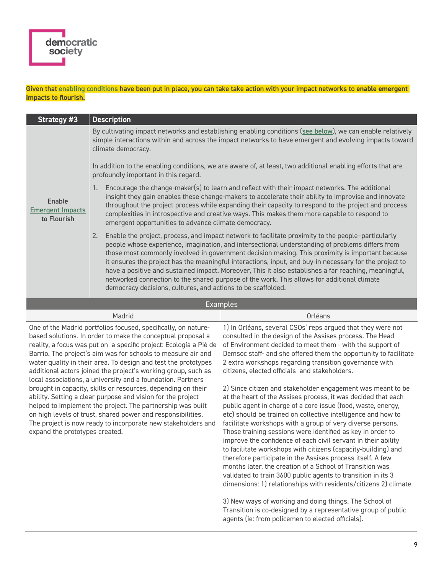# Given that [enabling conditions](#page-10-0) have been put in place, you can take take action with your impact networks to **enable emergent impacts to flourish**.

| Strategy #3                                      | <b>Description</b>                                                                                                                                                                                                                                                                                                                                                                                                                                                                                                                                                                                                                                                                             |  |  |  |
|--------------------------------------------------|------------------------------------------------------------------------------------------------------------------------------------------------------------------------------------------------------------------------------------------------------------------------------------------------------------------------------------------------------------------------------------------------------------------------------------------------------------------------------------------------------------------------------------------------------------------------------------------------------------------------------------------------------------------------------------------------|--|--|--|
|                                                  | By cultivating impact networks and establishing enabling conditions (see below), we can enable relatively<br>simple interactions within and across the impact networks to have emergent and evolving impacts toward<br>climate democracy.<br>In addition to the enabling conditions, we are aware of, at least, two additional enabling efforts that are                                                                                                                                                                                                                                                                                                                                       |  |  |  |
|                                                  | profoundly important in this regard.                                                                                                                                                                                                                                                                                                                                                                                                                                                                                                                                                                                                                                                           |  |  |  |
| Enable<br><b>Emergent Impacts</b><br>to Flourish | Encourage the change-maker(s) to learn and reflect with their impact networks. The additional<br>insight they gain enables these change-makers to accelerate their ability to improvise and innovate<br>throughout the project process while expanding their capacity to respond to the project and process<br>complexities in introspective and creative ways. This makes them more capable to respond to<br>emergent opportunities to advance climate democracy.                                                                                                                                                                                                                             |  |  |  |
|                                                  | Enable the project, process, and impact network to facilitate proximity to the people-particularly<br>2.<br>people whose experience, imagination, and intersectional understanding of problems differs from<br>those most commonly involved in government decision making. This proximity is important because<br>it ensures the project has the meaningful interactions, input, and buy-in necessary for the project to<br>have a positive and sustained impact. Moreover, This it also establishes a far reaching, meaningful,<br>networked connection to the shared purpose of the work. This allows for additional climate<br>democracy decisions, cultures, and actions to be scaffolded. |  |  |  |
|                                                  | <b>Examples</b>                                                                                                                                                                                                                                                                                                                                                                                                                                                                                                                                                                                                                                                                                |  |  |  |
|                                                  |                                                                                                                                                                                                                                                                                                                                                                                                                                                                                                                                                                                                                                                                                                |  |  |  |

| Madrid                                                                                                                                                                                                                                                                                                                                                                                                                                                               | Orléans                                                                                                                                                                                                                                                                                                                                                                                                                                                                                                                                                                                                                                                                                                                                                                                                                                                                                                                                                                 |
|----------------------------------------------------------------------------------------------------------------------------------------------------------------------------------------------------------------------------------------------------------------------------------------------------------------------------------------------------------------------------------------------------------------------------------------------------------------------|-------------------------------------------------------------------------------------------------------------------------------------------------------------------------------------------------------------------------------------------------------------------------------------------------------------------------------------------------------------------------------------------------------------------------------------------------------------------------------------------------------------------------------------------------------------------------------------------------------------------------------------------------------------------------------------------------------------------------------------------------------------------------------------------------------------------------------------------------------------------------------------------------------------------------------------------------------------------------|
| One of the Madrid portfolios focused, specifically, on nature-<br>based solutions. In order to make the conceptual proposal a<br>reality, a focus was put on a specific project: Ecología a Pié de<br>Barrio. The project's aim was for schools to measure air and<br>water quality in their area. To design and test the prototypes<br>additional actors joined the project's working group, such as<br>local associations, a university and a foundation. Partners | 1) In Orléans, several CSOs' reps argued that they were not<br>consulted in the design of the Assises process. The Head<br>of Environment decided to meet them - with the support of<br>Demsoc staff- and she offered them the opportunity to facilitate<br>2 extra workshops regarding transition governance with<br>citizens, elected officials and stakeholders.                                                                                                                                                                                                                                                                                                                                                                                                                                                                                                                                                                                                     |
| brought in capacity, skills or resources, depending on their<br>ability. Setting a clear purpose and vision for the project<br>helped to implement the project. The partnership was built<br>on high levels of trust, shared power and responsibilities.<br>The project is now ready to incorporate new stakeholders and<br>expand the prototypes created.                                                                                                           | 2) Since citizen and stakeholder engagement was meant to be<br>at the heart of the Assises process, it was decided that each<br>public agent in charge of a core issue (food, waste, energy,<br>etc) should be trained on collective intelligence and how to<br>facilitate workshops with a group of very diverse persons.<br>Those training sessions were identified as key in order to<br>improve the confidence of each civil servant in their ability<br>to facilitate workshops with citizens (capacity-building) and<br>therefore participate in the Assises process itself. A few<br>months later, the creation of a School of Transition was<br>validated to train 3600 public agents to transition in its 3<br>dimensions: 1) relationships with residents/citizens 2) climate<br>3) New ways of working and doing things. The School of<br>Transition is co-designed by a representative group of public<br>agents (ie: from policemen to elected officials). |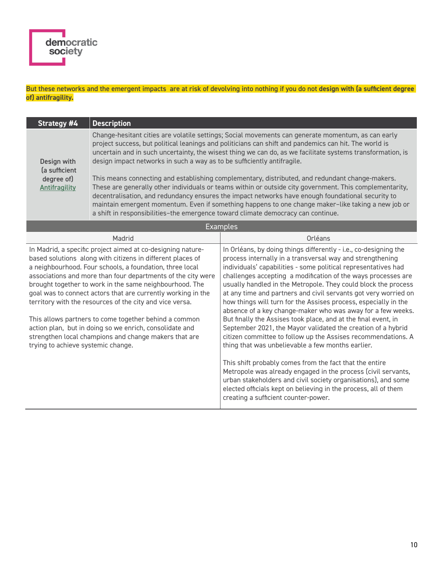# But these networks and the emergent impacts are at risk of devolving into nothing if you do not **design with (a sufficient degree of) antifragility.**

| Strategy #4                                                                                                                                                                                                                                                                                                                                                                                                                                                                                                                                                                                                                                                     | <b>Description</b>                                                                                                                                                                                                                                                                                                                                                                                                                                                                                                                                                                                                                                                                                                                                                                                                                                                                                                |                                                                                                                                                                                                                                                                                                                                                                                                                                                                                                                                                                                                                                                                                                                                                                                                                                                                                                                                                                                                                                                                                                                                                                                                                                                              |  |
|-----------------------------------------------------------------------------------------------------------------------------------------------------------------------------------------------------------------------------------------------------------------------------------------------------------------------------------------------------------------------------------------------------------------------------------------------------------------------------------------------------------------------------------------------------------------------------------------------------------------------------------------------------------------|-------------------------------------------------------------------------------------------------------------------------------------------------------------------------------------------------------------------------------------------------------------------------------------------------------------------------------------------------------------------------------------------------------------------------------------------------------------------------------------------------------------------------------------------------------------------------------------------------------------------------------------------------------------------------------------------------------------------------------------------------------------------------------------------------------------------------------------------------------------------------------------------------------------------|--------------------------------------------------------------------------------------------------------------------------------------------------------------------------------------------------------------------------------------------------------------------------------------------------------------------------------------------------------------------------------------------------------------------------------------------------------------------------------------------------------------------------------------------------------------------------------------------------------------------------------------------------------------------------------------------------------------------------------------------------------------------------------------------------------------------------------------------------------------------------------------------------------------------------------------------------------------------------------------------------------------------------------------------------------------------------------------------------------------------------------------------------------------------------------------------------------------------------------------------------------------|--|
| Design with<br>(a sufficient<br>degree of)<br><b>Antifragility</b>                                                                                                                                                                                                                                                                                                                                                                                                                                                                                                                                                                                              | Change-hesitant cities are volatile settings; Social movements can generate momentum, as can early<br>project success, but political leanings and politicians can shift and pandemics can hit. The world is<br>uncertain and in such uncertainty, the wisest thing we can do, as we facilitate systems transformation, is<br>design impact networks in such a way as to be sufficiently antifragile.<br>This means connecting and establishing complementary, distributed, and redundant change-makers.<br>These are generally other individuals or teams within or outside city government. This complementarity,<br>decentralisation, and redundancy ensures the impact networks have enough foundational security to<br>maintain emergent momentum. Even if something happens to one change maker-like taking a new job or<br>a shift in responsibilities-the emergence toward climate democracy can continue. |                                                                                                                                                                                                                                                                                                                                                                                                                                                                                                                                                                                                                                                                                                                                                                                                                                                                                                                                                                                                                                                                                                                                                                                                                                                              |  |
| <b>Examples</b>                                                                                                                                                                                                                                                                                                                                                                                                                                                                                                                                                                                                                                                 |                                                                                                                                                                                                                                                                                                                                                                                                                                                                                                                                                                                                                                                                                                                                                                                                                                                                                                                   |                                                                                                                                                                                                                                                                                                                                                                                                                                                                                                                                                                                                                                                                                                                                                                                                                                                                                                                                                                                                                                                                                                                                                                                                                                                              |  |
| Madrid                                                                                                                                                                                                                                                                                                                                                                                                                                                                                                                                                                                                                                                          |                                                                                                                                                                                                                                                                                                                                                                                                                                                                                                                                                                                                                                                                                                                                                                                                                                                                                                                   | Orléans                                                                                                                                                                                                                                                                                                                                                                                                                                                                                                                                                                                                                                                                                                                                                                                                                                                                                                                                                                                                                                                                                                                                                                                                                                                      |  |
| In Madrid, a specific project aimed at co-designing nature-<br>based solutions along with citizens in different places of<br>a neighbourhood. Four schools, a foundation, three local<br>associations and more than four departments of the city were<br>brought together to work in the same neighbourhood. The<br>goal was to connect actors that are currently working in the<br>territory with the resources of the city and vice versa.<br>This allows partners to come together behind a common<br>action plan, but in doing so we enrich, consolidate and<br>strengthen local champions and change makers that are<br>trying to achieve systemic change. |                                                                                                                                                                                                                                                                                                                                                                                                                                                                                                                                                                                                                                                                                                                                                                                                                                                                                                                   | In Orléans, by doing things differently - i.e., co-designing the<br>process internally in a transversal way and strengthening<br>individuals' capabilities - some political representatives had<br>challenges accepting a modification of the ways processes are<br>usually handled in the Metropole. They could block the process<br>at any time and partners and civil servants got very worried on<br>how things will turn for the Assises process, especially in the<br>absence of a key change-maker who was away for a few weeks.<br>But finally the Assises took place, and at the final event, in<br>September 2021, the Mayor validated the creation of a hybrid<br>citizen committee to follow up the Assises recommendations. A<br>thing that was unbelievable a few months earlier.<br>$\mathcal{L} = \mathcal{L} \mathcal{L} = \mathcal{L} \mathcal{L} = \mathcal{L} \mathcal{L} = \mathcal{L} \mathcal{L} = \mathcal{L} \mathcal{L} = \mathcal{L} \mathcal{L} \mathcal{L} = \mathcal{L} \mathcal{L} \mathcal{L} = \mathcal{L} \mathcal{L} \mathcal{L} \mathcal{L} \mathcal{L} = \mathcal{L} \mathcal{L} \mathcal{L} \mathcal{L} \mathcal{L} \mathcal{L} = \mathcal{L} \mathcal{L} \mathcal{L} \mathcal{L} \mathcal{L} \mathcal{L} \mathcal{L}$ |  |

This shift probably comes from the fact that the entire Metropole was already engaged in the process (civil servants, urban stakeholders and civil society organisations), and some elected officials kept on believing in the process, all of them creating a sufficient counter-power.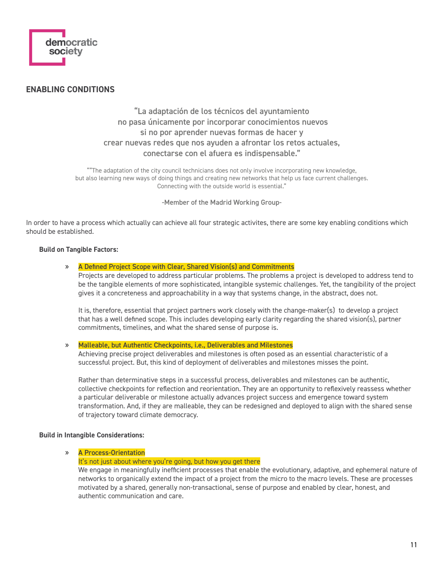

# <span id="page-10-0"></span>**ENABLING CONDITIONS**

# "La adaptación de los técnicos del ayuntamiento no pasa únicamente por incorporar conocimientos nuevos si no por aprender nuevas formas de hacer y crear nuevas redes que nos ayuden a afrontar los retos actuales, conectarse con el afuera es indispensable."

""The adaptation of the city council technicians does not only involve incorporating new knowledge, but also learning new ways of doing things and creating new networks that help us face current challenges. Connecting with the outside world is essential."

-Member of the Madrid Working Group-

In order to have a process which actually can achieve all four strategic activites, there are some key enabling conditions which should be established.

## **Build on Tangible Factors:**

# » A Defined Project Scope with Clear, Shared Vision(s) and Commitments

Projects are developed to address particular problems. The problems a project is developed to address tend to be the tangible elements of more sophisticated, intangible systemic challenges. Yet, the tangibility of the project gives it a concreteness and approachability in a way that systems change, in the abstract, does not.

It is, therefore, essential that project partners work closely with the change-maker(s) to develop a project that has a well defined scope. This includes developing early clarity regarding the shared vision(s), partner commitments, timelines, and what the shared sense of purpose is.

» Malleable, but Authentic Checkpoints, i.e., Deliverables and Milestones

Achieving precise project deliverables and milestones is often posed as an essential characteristic of a successful project. But, this kind of deployment of deliverables and milestones misses the point.

Rather than determinative steps in a successful process, deliverables and milestones can be authentic, collective checkpoints for reflection and reorientation. They are an opportunity to reflexively reassess whether a particular deliverable or milestone actually advances project success and emergence toward system transformation. And, if they are malleable, they can be redesigned and deployed to align with the shared sense of trajectory toward climate democracy.

## **Build in Intangible Considerations:**

# » A Process-Orientation

## It's not just about where you're going, but how you get there

We engage in meaningfully inefficient processes that enable the evolutionary, adaptive, and ephemeral nature of networks to organically extend the impact of a project from the micro to the macro levels. These are processes motivated by a shared, generally non-transactional, sense of purpose and enabled by clear, honest, and authentic communication and care.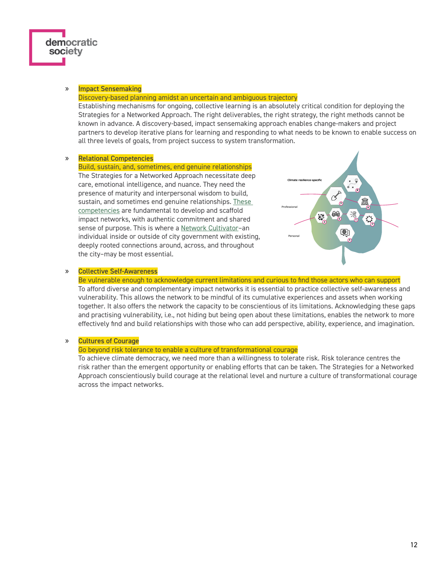## » Impact Sensemaking

democratic society

#### Discovery-based planning amidst an uncertain and ambiguous trajectory

Establishing mechanisms for ongoing, collective learning is an absolutely critical condition for deploying the Strategies for a Networked Approach. The right deliverables, the right strategy, the right methods cannot be known in advance. A discovery-based, impact sensemaking approach enables change-makers and project partners to develop iterative plans for learning and responding to what needs to be known to enable success on all three levels of goals, from project success to system transformation.

#### » Relational Competencies

#### Build, sustain, and, sometimes, end genuine relationships

The Strategies for a Networked Approach necessitate deep care, emotional intelligence, and nuance. They need the presence of maturity and interpersonal wisdom to build, sustain, and sometimes end genuine relationships. These [competencies](https://www.demsoc.org/resources/competencies-for-climate-democracy) are fundamental to develop and scaffold impact networks, with authentic commitment and shared sense of purpose. This is where a Network Cultivator-an individual inside or outside of city government with existing, deeply rooted connections around, across, and throughout the city–may be most essential.



# » Collective Self-Awareness

Be vulnerable enough to acknowledge current limitations and curious to find those actors who can support To afford diverse and complementary impact networks it is essential to practice collective self-awareness and vulnerability. This allows the network to be mindful of its cumulative experiences and assets when working together. It also offers the network the capacity to be conscientious of its limitations. Acknowledging these gaps and practising vulnerability, i.e., not hiding but being open about these limitations, enables the network to more effectively find and build relationships with those who can add perspective, ability, experience, and imagination.

#### » Cultures of Courage

#### Go beyond risk tolerance to enable a culture of transformational courage

To achieve climate democracy, we need more than a willingness to tolerate risk. Risk tolerance centres the risk rather than the emergent opportunity or enabling efforts that can be taken. The Strategies for a Networked Approach conscientiously build courage at the relational level and nurture a culture of transformational courage across the impact networks.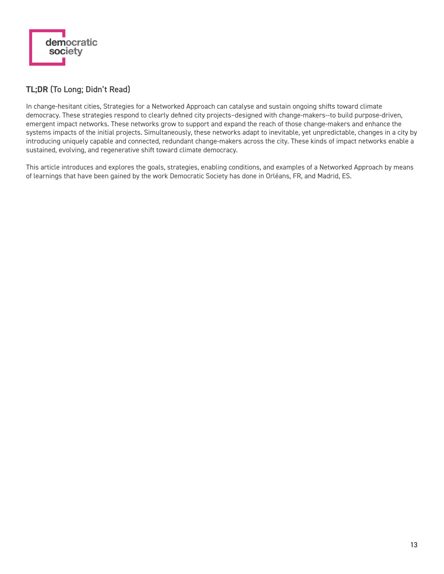

# **TL;DR** (To Long; Didn't Read)

In change-hesitant cities, Strategies for a Networked Approach can catalyse and sustain ongoing shifts toward climate democracy. These strategies respond to clearly defined city projects–designed with change-makers--to build purpose-driven, emergent impact networks. These networks grow to support and expand the reach of those change-makers and enhance the systems impacts of the initial projects. Simultaneously, these networks adapt to inevitable, yet unpredictable, changes in a city by introducing uniquely capable and connected, redundant change-makers across the city. These kinds of impact networks enable a sustained, evolving, and regenerative shift toward climate democracy.

This article introduces and explores the goals, strategies, enabling conditions, and examples of a Networked Approach by means of learnings that have been gained by the work Democratic Society has done in Orléans, FR, and Madrid, ES.